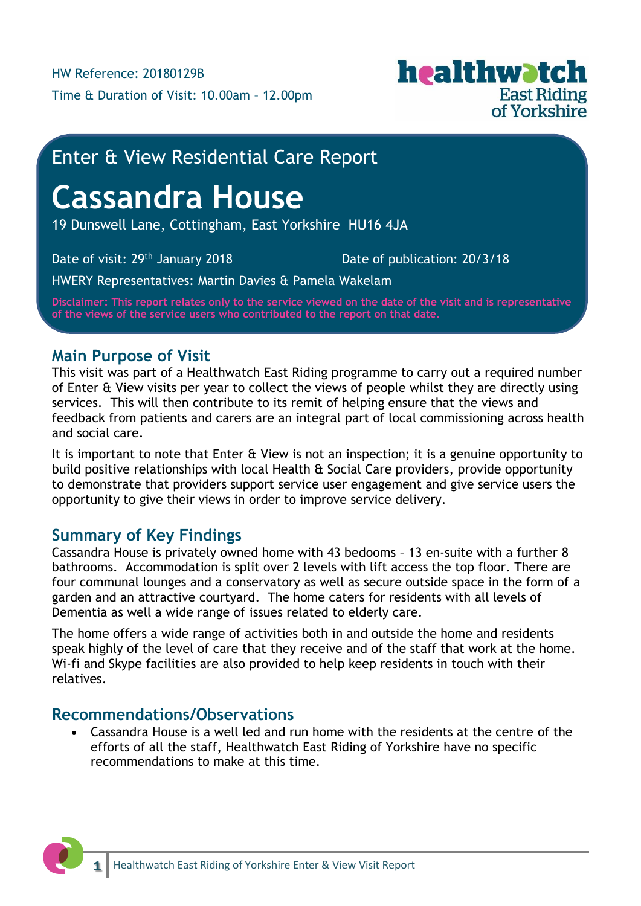

## Enter & View Residential Care Report

# **Cassandra House**

19 Dunswell Lane, Cottingham, East Yorkshire HU16 4JA

Date of visit: 29<sup>th</sup> January 2018 Date of publication: 20/3/18

HWERY Representatives: Martin Davies & Pamela Wakelam

**Disclaimer: This report relates only to the service viewed on the date of the visit and is representative of the views of the service users who contributed to the report on that date.**

## **Main Purpose of Visit**

This visit was part of a Healthwatch East Riding programme to carry out a required number of Enter & View visits per year to collect the views of people whilst they are directly using services. This will then contribute to its remit of helping ensure that the views and feedback from patients and carers are an integral part of local commissioning across health and social care.

It is important to note that Enter & View is not an inspection; it is a genuine opportunity to build positive relationships with local Health & Social Care providers, provide opportunity to demonstrate that providers support service user engagement and give service users the opportunity to give their views in order to improve service delivery.

## **Summary of Key Findings**

Cassandra House is privately owned home with 43 bedooms – 13 en-suite with a further 8 bathrooms. Accommodation is split over 2 levels with lift access the top floor. There are four communal lounges and a conservatory as well as secure outside space in the form of a garden and an attractive courtyard. The home caters for residents with all levels of Dementia as well a wide range of issues related to elderly care.

The home offers a wide range of activities both in and outside the home and residents speak highly of the level of care that they receive and of the staff that work at the home. Wi-fi and Skype facilities are also provided to help keep residents in touch with their relatives.

### **Recommendations/Observations**

 Cassandra House is a well led and run home with the residents at the centre of the efforts of all the staff, Healthwatch East Riding of Yorkshire have no specific recommendations to make at this time.

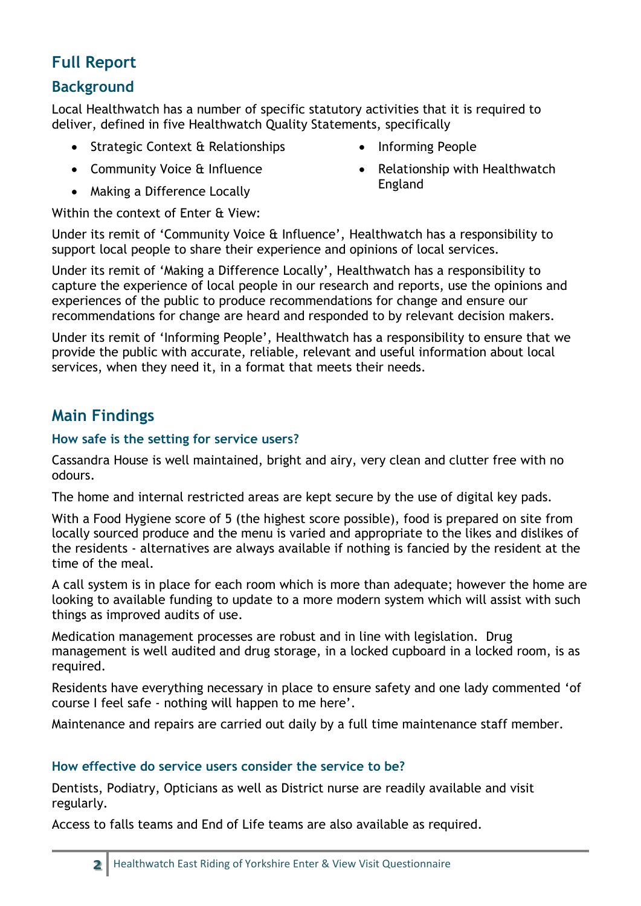## **Full Report**

## **Background**

Local Healthwatch has a number of specific statutory activities that it is required to deliver, defined in five Healthwatch Quality Statements, specifically

- Strategic Context & Relationships
- Community Voice & Influence
- Making a Difference Locally

• Relationship with Healthwatch England

• Informing People

Within the context of Enter & View:

Under its remit of 'Community Voice & Influence', Healthwatch has a responsibility to support local people to share their experience and opinions of local services.

Under its remit of 'Making a Difference Locally', Healthwatch has a responsibility to capture the experience of local people in our research and reports, use the opinions and experiences of the public to produce recommendations for change and ensure our recommendations for change are heard and responded to by relevant decision makers.

Under its remit of 'Informing People', Healthwatch has a responsibility to ensure that we provide the public with accurate, reliable, relevant and useful information about local services, when they need it, in a format that meets their needs.

## **Main Findings**

#### **How safe is the setting for service users?**

Cassandra House is well maintained, bright and airy, very clean and clutter free with no odours.

The home and internal restricted areas are kept secure by the use of digital key pads.

With a Food Hygiene score of 5 (the highest score possible), food is prepared on site from locally sourced produce and the menu is varied and appropriate to the likes and dislikes of the residents - alternatives are always available if nothing is fancied by the resident at the time of the meal.

A call system is in place for each room which is more than adequate; however the home are looking to available funding to update to a more modern system which will assist with such things as improved audits of use.

Medication management processes are robust and in line with legislation. Drug management is well audited and drug storage, in a locked cupboard in a locked room, is as required.

Residents have everything necessary in place to ensure safety and one lady commented 'of course I feel safe - nothing will happen to me here'.

Maintenance and repairs are carried out daily by a full time maintenance staff member.

#### **How effective do service users consider the service to be?**

Dentists, Podiatry, Opticians as well as District nurse are readily available and visit regularly.

Access to falls teams and End of Life teams are also available as required.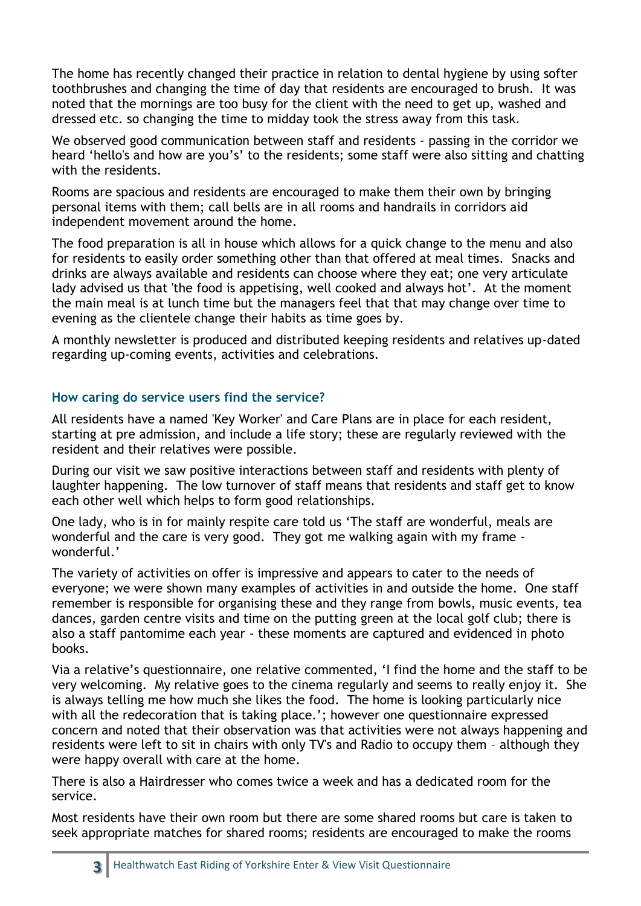The home has recently changed their practice in relation to dental hygiene by using softer toothbrushes and changing the time of day that residents are encouraged to brush. It was noted that the mornings are too busy for the client with the need to get up, washed and dressed etc. so changing the time to midday took the stress away from this task.

We observed good communication between staff and residents - passing in the corridor we heard 'hello's and how are you's' to the residents; some staff were also sitting and chatting with the residents.

Rooms are spacious and residents are encouraged to make them their own by bringing personal items with them; call bells are in all rooms and handrails in corridors aid independent movement around the home.

The food preparation is all in house which allows for a quick change to the menu and also for residents to easily order something other than that offered at meal times. Snacks and drinks are always available and residents can choose where they eat; one very articulate lady advised us that 'the food is appetising, well cooked and always hot'. At the moment the main meal is at lunch time but the managers feel that that may change over time to evening as the clientele change their habits as time goes by.

A monthly newsletter is produced and distributed keeping residents and relatives up-dated regarding up-coming events, activities and celebrations.

#### **How caring do service users find the service?**

All residents have a named 'Key Worker' and Care Plans are in place for each resident, starting at pre admission, and include a life story; these are regularly reviewed with the resident and their relatives were possible.

During our visit we saw positive interactions between staff and residents with plenty of laughter happening. The low turnover of staff means that residents and staff get to know each other well which helps to form good relationships.

One lady, who is in for mainly respite care told us 'The staff are wonderful, meals are wonderful and the care is very good. They got me walking again with my frame wonderful.'

The variety of activities on offer is impressive and appears to cater to the needs of everyone; we were shown many examples of activities in and outside the home. One staff remember is responsible for organising these and they range from bowls, music events, tea dances, garden centre visits and time on the putting green at the local golf club; there is also a staff pantomime each year - these moments are captured and evidenced in photo books.

Via a relative's questionnaire, one relative commented, 'I find the home and the staff to be very welcoming. My relative goes to the cinema regularly and seems to really enjoy it. She is always telling me how much she likes the food. The home is looking particularly nice with all the redecoration that is taking place.'; however one questionnaire expressed concern and noted that their observation was that activities were not always happening and residents were left to sit in chairs with only TV's and Radio to occupy them – although they were happy overall with care at the home.

There is also a Hairdresser who comes twice a week and has a dedicated room for the service.

Most residents have their own room but there are some shared rooms but care is taken to seek appropriate matches for shared rooms; residents are encouraged to make the rooms